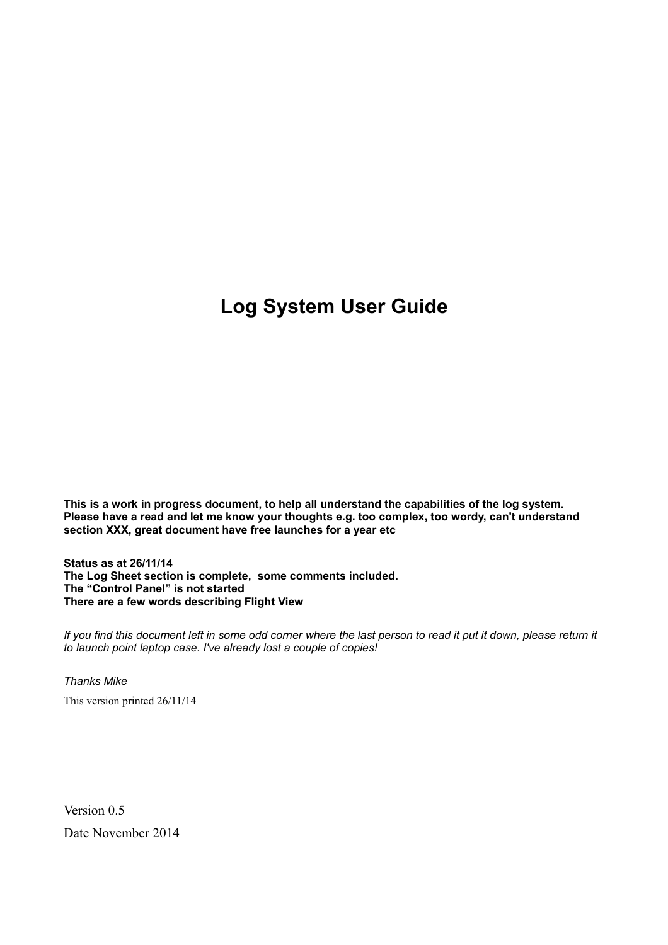# **Log System User Guide**

**This is a work in progress document, to help all understand the capabilities of the log system. Please have a read and let me know your thoughts e.g. too complex, too wordy, can't understand section XXX, great document have free launches for a year etc**

**Status as at 26/11/14 The Log Sheet section is complete, some comments included. The "Control Panel" is not started There are a few words describing Flight View** 

If you find this document left in some odd corner where the last person to read it put it down, please return it *to launch point laptop case. I've already lost a couple of copies!*

*Thanks Mike* This version printed 26/11/14

Version 0.5 Date November 2014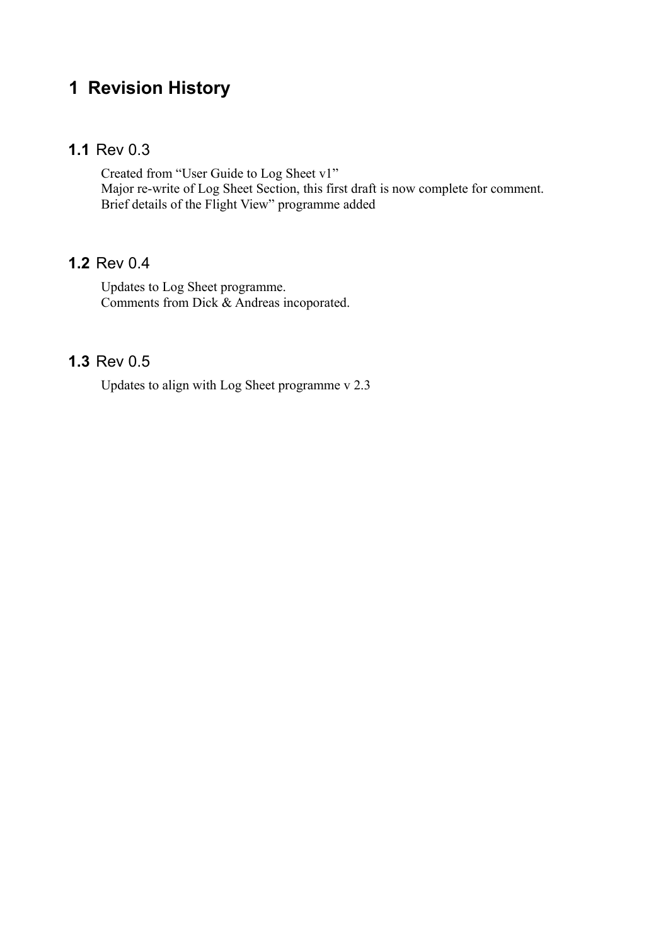# **1 Revision History**

#### **1.1** Rev 0.3

Created from "User Guide to Log Sheet v1" Major re-write of Log Sheet Section, this first draft is now complete for comment. Brief details of the Flight View" programme added

#### **1.2** Rev 0.4

Updates to Log Sheet programme. Comments from Dick & Andreas incoporated.

#### **1.3** Rev 0.5

Updates to align with Log Sheet programme v 2.3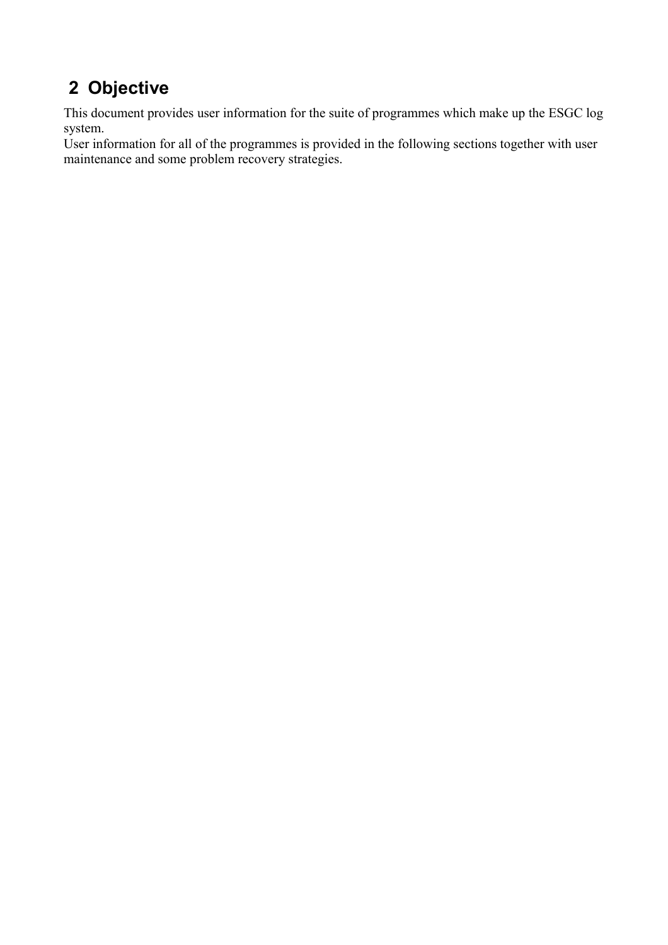# **2 Objective**

This document provides user information for the suite of programmes which make up the ESGC log system.

User information for all of the programmes is provided in the following sections together with user maintenance and some problem recovery strategies.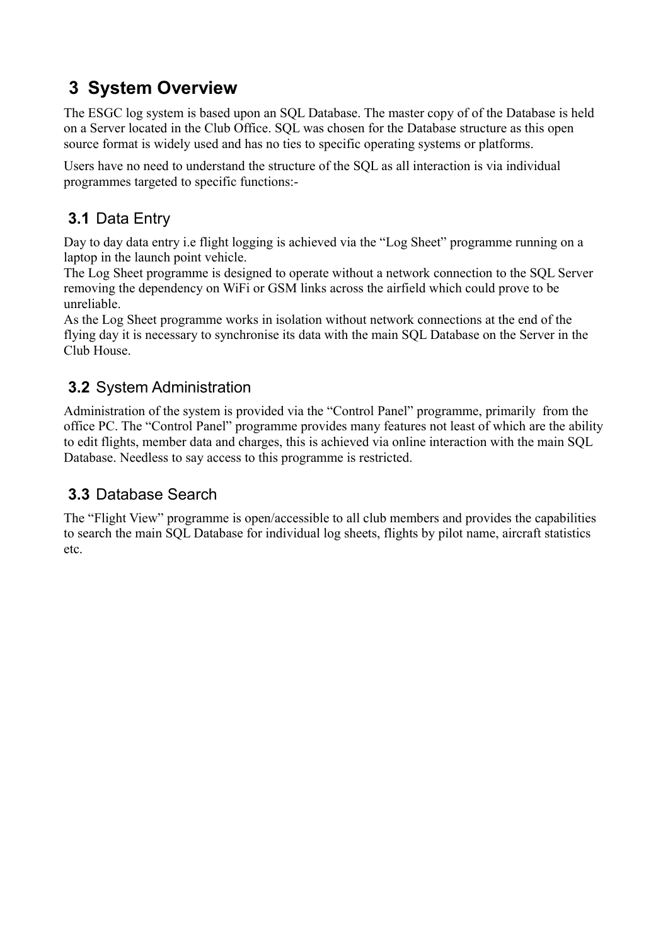# **3 System Overview**

The ESGC log system is based upon an SQL Database. The master copy of of the Database is held on a Server located in the Club Office. SQL was chosen for the Database structure as this open source format is widely used and has no ties to specific operating systems or platforms.

Users have no need to understand the structure of the SQL as all interaction is via individual programmes targeted to specific functions:-

# **3.1** Data Entry

Day to day data entry i.e flight logging is achieved via the "Log Sheet" programme running on a laptop in the launch point vehicle.

The Log Sheet programme is designed to operate without a network connection to the SQL Server removing the dependency on WiFi or GSM links across the airfield which could prove to be unreliable.

As the Log Sheet programme works in isolation without network connections at the end of the flying day it is necessary to synchronise its data with the main SQL Database on the Server in the Club House.

## **3.2** System Administration

Administration of the system is provided via the "Control Panel" programme, primarily from the office PC. The "Control Panel" programme provides many features not least of which are the ability to edit flights, member data and charges, this is achieved via online interaction with the main SQL Database. Needless to say access to this programme is restricted.

## **3.3** Database Search

The "Flight View" programme is open/accessible to all club members and provides the capabilities to search the main SQL Database for individual log sheets, flights by pilot name, aircraft statistics etc.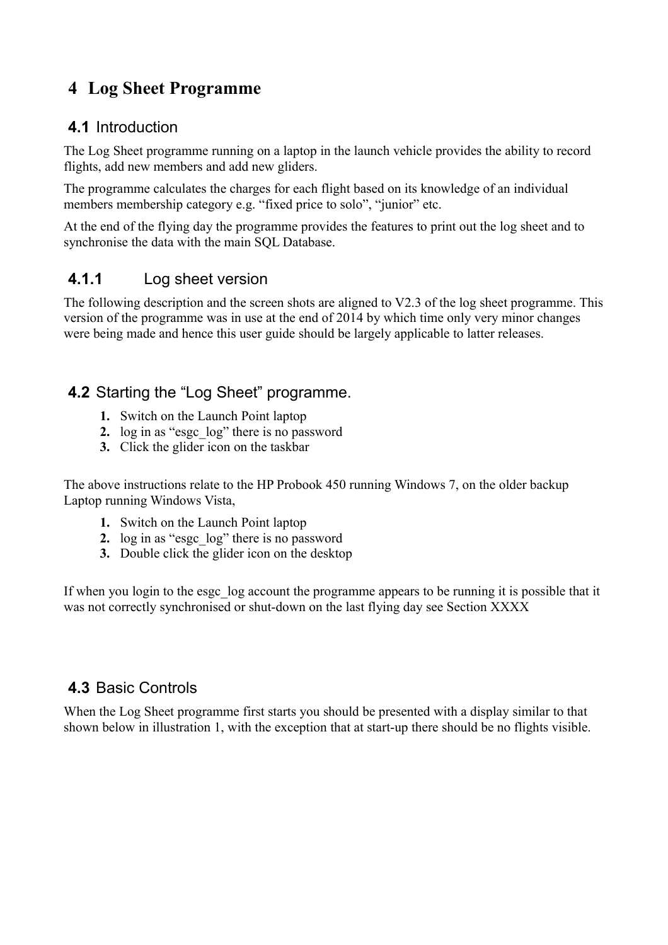# **4 Log Sheet Programme**

#### **4.1** Introduction

The Log Sheet programme running on a laptop in the launch vehicle provides the ability to record flights, add new members and add new gliders.

The programme calculates the charges for each flight based on its knowledge of an individual members membership category e.g. "fixed price to solo", "junior" etc.

At the end of the flying day the programme provides the features to print out the log sheet and to synchronise the data with the main SQL Database.

#### **4.1.1** Log sheet version

The following description and the screen shots are aligned to V2.3 of the log sheet programme. This version of the programme was in use at the end of 2014 by which time only very minor changes were being made and hence this user guide should be largely applicable to latter releases.

#### **4.2** Starting the "Log Sheet" programme.

- **1.** Switch on the Launch Point laptop
- **2.** log in as "esgc\_log" there is no password
- **3.** Click the glider icon on the taskbar

The above instructions relate to the HP Probook 450 running Windows 7, on the older backup Laptop running Windows Vista,

- **1.** Switch on the Launch Point laptop
- **2.** log in as "esgc\_log" there is no password
- **3.** Double click the glider icon on the desktop

If when you login to the esgc log account the programme appears to be running it is possible that it was not correctly synchronised or shut-down on the last flying day see Section XXXX

#### <span id="page-4-0"></span> **4.3** Basic Controls

When the Log Sheet programme first starts you should be presented with a display similar to that shown below in illustration 1, with the exception that at start-up there should be no flights visible.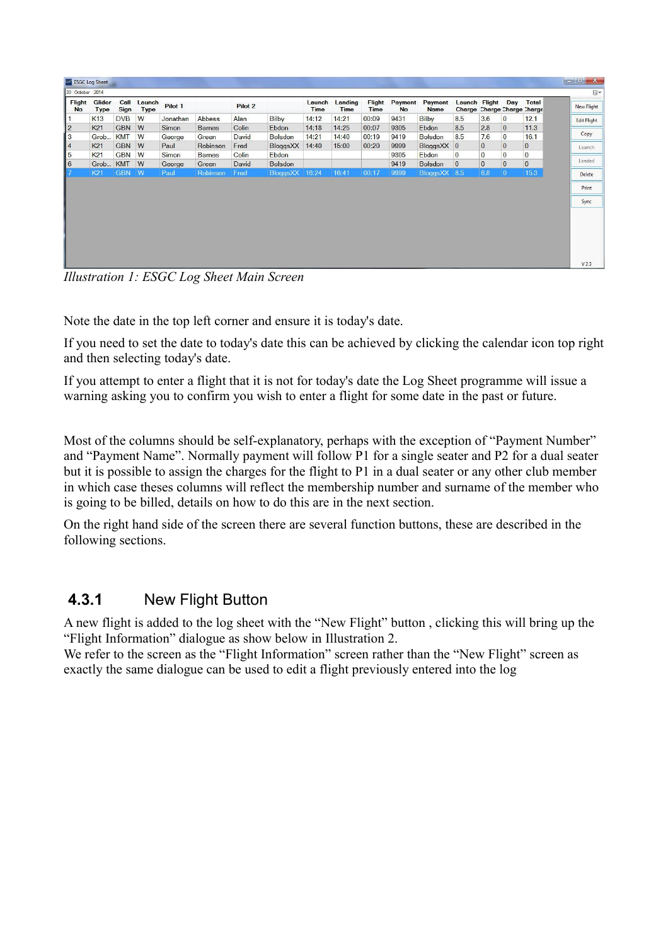| Charge Charge Charge Charge<br>8.5<br>3.6<br>K13<br><b>DVB</b><br>W<br>Bilby<br>Bilby<br>14:12<br>14:21<br>00:09<br>9431<br>$\overline{0}$<br>12.1<br>Jonathan<br>Abbess<br>Alan<br>$\overline{2}$<br>8.5<br>2.8<br><b>K21</b><br><b>GBN</b><br>11.3<br>W<br>Simon<br>9305<br>Barnes<br>14:18<br>14:25<br>00:07<br>$\mathbf{0}$<br>Colin<br>Ebdon<br>Ebdon<br>$\vert \vert$ 3<br><b>KMT</b><br>8.5<br>$\overline{0}$<br>W<br>7.6<br>16.1<br>Grob<br>David<br>14:21<br>14:40<br>00:19<br>9419<br>George<br>Green<br><b>Bolsdon</b><br><b>Bolsdon</b><br>$\vert 4$<br>$\overline{0}$<br>$\overline{0}$<br><b>GBN</b><br>K21<br><b>W</b><br>$\mathbf{0}$<br>BloggsXX<br>00:20<br>9999<br>BloggsXX 0<br>Paul<br>Robinson<br>Fred<br>15:00<br>14:40<br>$\overline{\mathbf{5}}$<br>$\bf{0}$<br>$\overline{0}$<br>$\overline{0}$<br>K <sub>21</sub><br>GBN W<br>9305<br><b>Ebdon</b><br>$\overline{0}$<br><b>Simon</b><br>Colin<br>Ebdon<br><b>Barnes</b><br>$\vert$ 6<br>$\overline{0}$<br>$\overline{0}$<br>$\overline{0}$<br>$\overline{0}$<br><b>KMT</b><br>9419<br>W<br>David<br><b>Bolsdon</b><br>Grob<br><b>Bolsdon</b><br>George<br>Green<br>$\overline{7}$<br><b>GBN</b><br>W.<br>BloggsXX<br>16:41<br>9999<br>6.8<br>15.3<br>16:24<br>00:17<br>BloggsXX 8.5<br>K21<br>Robinson<br>Fred<br>$\overline{0}$<br>Paul | <b>Flight</b> | Glider      | Call        | Launch      | Pilot 1 | Pilot 2 | Launch      | Landing     | Flight      | Payment   | Payment     | Launch Flight Day |  | Total | $\Box$<br><br><b>New Flight</b> |
|---------------------------------------------------------------------------------------------------------------------------------------------------------------------------------------------------------------------------------------------------------------------------------------------------------------------------------------------------------------------------------------------------------------------------------------------------------------------------------------------------------------------------------------------------------------------------------------------------------------------------------------------------------------------------------------------------------------------------------------------------------------------------------------------------------------------------------------------------------------------------------------------------------------------------------------------------------------------------------------------------------------------------------------------------------------------------------------------------------------------------------------------------------------------------------------------------------------------------------------------------------------------------------------------------------------------|---------------|-------------|-------------|-------------|---------|---------|-------------|-------------|-------------|-----------|-------------|-------------------|--|-------|---------------------------------|
|                                                                                                                                                                                                                                                                                                                                                                                                                                                                                                                                                                                                                                                                                                                                                                                                                                                                                                                                                                                                                                                                                                                                                                                                                                                                                                                     | <b>No</b>     | <b>Type</b> | <b>Sign</b> | <b>Type</b> |         |         | <b>Time</b> | <b>Time</b> | <b>Time</b> | <b>No</b> | <b>Name</b> |                   |  |       |                                 |
|                                                                                                                                                                                                                                                                                                                                                                                                                                                                                                                                                                                                                                                                                                                                                                                                                                                                                                                                                                                                                                                                                                                                                                                                                                                                                                                     |               |             |             |             |         |         |             |             |             |           |             |                   |  |       | <b>Edit Flight</b>              |
|                                                                                                                                                                                                                                                                                                                                                                                                                                                                                                                                                                                                                                                                                                                                                                                                                                                                                                                                                                                                                                                                                                                                                                                                                                                                                                                     |               |             |             |             |         |         |             |             |             |           |             |                   |  |       |                                 |
|                                                                                                                                                                                                                                                                                                                                                                                                                                                                                                                                                                                                                                                                                                                                                                                                                                                                                                                                                                                                                                                                                                                                                                                                                                                                                                                     |               |             |             |             |         |         |             |             |             |           |             |                   |  |       | Copy                            |
|                                                                                                                                                                                                                                                                                                                                                                                                                                                                                                                                                                                                                                                                                                                                                                                                                                                                                                                                                                                                                                                                                                                                                                                                                                                                                                                     |               |             |             |             |         |         |             |             |             |           |             |                   |  |       | Launch                          |
|                                                                                                                                                                                                                                                                                                                                                                                                                                                                                                                                                                                                                                                                                                                                                                                                                                                                                                                                                                                                                                                                                                                                                                                                                                                                                                                     |               |             |             |             |         |         |             |             |             |           |             |                   |  |       |                                 |
|                                                                                                                                                                                                                                                                                                                                                                                                                                                                                                                                                                                                                                                                                                                                                                                                                                                                                                                                                                                                                                                                                                                                                                                                                                                                                                                     |               |             |             |             |         |         |             |             |             |           |             |                   |  |       | Landed                          |
|                                                                                                                                                                                                                                                                                                                                                                                                                                                                                                                                                                                                                                                                                                                                                                                                                                                                                                                                                                                                                                                                                                                                                                                                                                                                                                                     |               |             |             |             |         |         |             |             |             |           |             |                   |  |       | Delete                          |
|                                                                                                                                                                                                                                                                                                                                                                                                                                                                                                                                                                                                                                                                                                                                                                                                                                                                                                                                                                                                                                                                                                                                                                                                                                                                                                                     |               |             |             |             |         |         |             |             |             |           |             |                   |  |       | Print<br>Sync                   |
|                                                                                                                                                                                                                                                                                                                                                                                                                                                                                                                                                                                                                                                                                                                                                                                                                                                                                                                                                                                                                                                                                                                                                                                                                                                                                                                     |               |             |             |             |         |         |             |             |             |           |             |                   |  |       |                                 |
|                                                                                                                                                                                                                                                                                                                                                                                                                                                                                                                                                                                                                                                                                                                                                                                                                                                                                                                                                                                                                                                                                                                                                                                                                                                                                                                     |               |             |             |             |         |         |             |             |             |           |             |                   |  |       |                                 |

<span id="page-5-1"></span>*Illustration 1: ESGC Log Sheet Main Screen*

Note the date in the top left corner and ensure it is today's date.

If you need to set the date to today's date this can be achieved by clicking the calendar icon top right and then selecting today's date.

If you attempt to enter a flight that it is not for today's date the Log Sheet programme will issue a warning asking you to confirm you wish to enter a flight for some date in the past or future.

Most of the columns should be self-explanatory, perhaps with the exception of "Payment Number" and "Payment Name". Normally payment will follow P1 for a single seater and P2 for a dual seater but it is possible to assign the charges for the flight to P1 in a dual seater or any other club member in which case theses columns will reflect the membership number and surname of the member who is going to be billed, details on how to do this are in the next section.

On the right hand side of the screen there are several function buttons, these are described in the following sections.

#### <span id="page-5-0"></span> **4.3.1** New Flight Button

A new flight is added to the log sheet with the "New Flight" button , clicking this will bring up the "Flight Information" dialogue as show below in [Illustration 2.](#page-6-0)

We refer to the screen as the "Flight Information" screen rather than the "New Flight" screen as exactly the same dialogue can be used to edit a flight previously entered into the log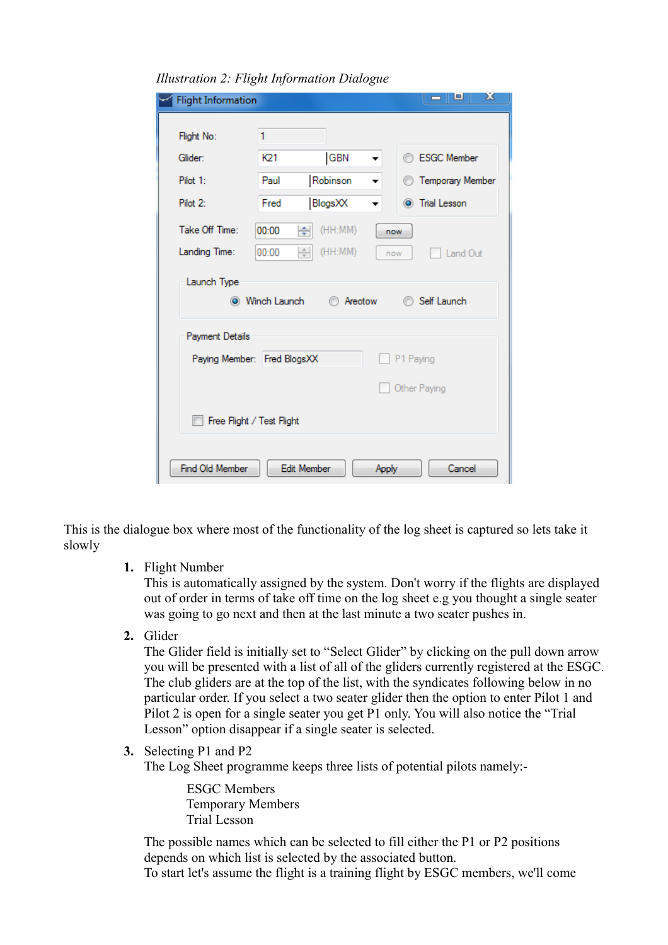| <b>Flight Information</b> |                                                    | x<br>e<br>▭                                         |
|---------------------------|----------------------------------------------------|-----------------------------------------------------|
| Flight No:                | 1                                                  |                                                     |
| Glider:                   | <b>GBN</b><br>K21                                  | <b>ESGC Member</b><br>m<br>$\overline{\phantom{a}}$ |
| Pilot 1:                  | Robinson<br>Paul                                   | <b>Temporary Member</b>                             |
| Pilot 2:                  | BlogsXX<br>Fred                                    | O Trial Lesson                                      |
| Take Off Time:            | (HH:MM)<br>÷<br>00:00                              | now                                                 |
| Landing Time:             | $\frac{\triangle}{\mathbf{v}}$<br>(HH:MM)<br>00:00 | Land Out<br>now                                     |
| Launch Type               | (C) Winch Launch                                   | Self Launch<br>Areotow                              |
| Payment Details           |                                                    |                                                     |
|                           | Paying Member: Fred BlogsXX                        | P1 Paying                                           |
|                           |                                                    | Other Paying                                        |
|                           | Free Flight / Test Flight                          |                                                     |
| Find Old Member           | <b>Edit Member</b>                                 | Cancel<br>Apply                                     |

<span id="page-6-0"></span>*Illustration 2: Flight Information Dialogue*

This is the dialogue box where most of the functionality of the log sheet is captured so lets take it slowly

**1.** Flight Number

This is automatically assigned by the system. Don't worry if the flights are displayed out of order in terms of take off time on the log sheet e.g you thought a single seater was going to go next and then at the last minute a two seater pushes in.

**2.** Glider

The Glider field is initially set to "Select Glider" by clicking on the pull down arrow you will be presented with a list of all of the gliders currently registered at the ESGC. The club gliders are at the top of the list, with the syndicates following below in no particular order. If you select a two seater glider then the option to enter Pilot 1 and Pilot 2 is open for a single seater you get P1 only. You will also notice the "Trial Lesson" option disappear if a single seater is selected.

**3.** Selecting P1 and P2

The Log Sheet programme keeps three lists of potential pilots namely:-

 ESGC Members Temporary Members Trial Lesson

The possible names which can be selected to fill either the P1 or P2 positions depends on which list is selected by the associated button. To start let's assume the flight is a training flight by ESGC members, we'll come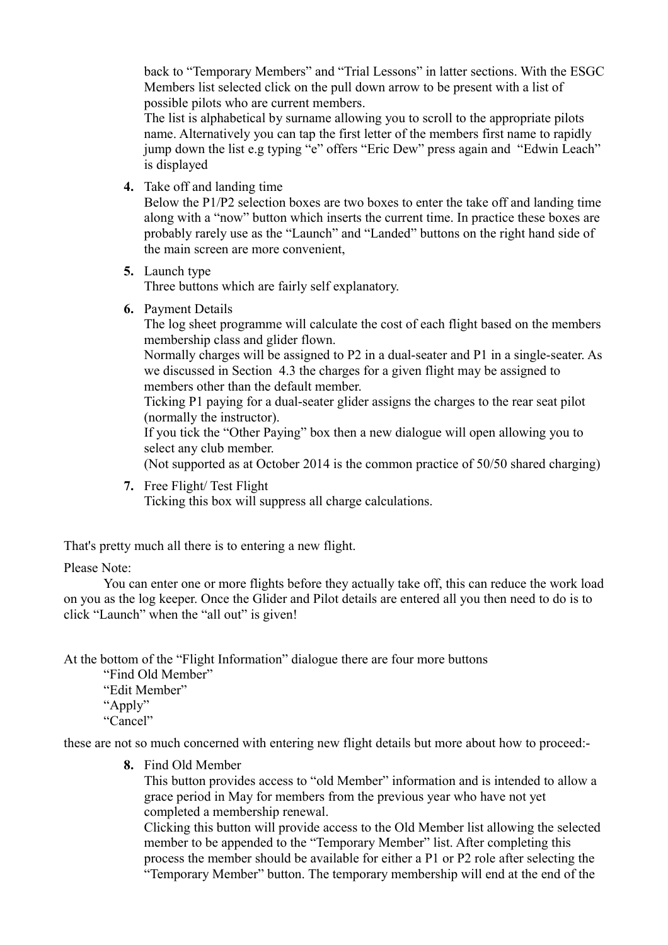back to "Temporary Members" and "Trial Lessons" in latter sections. With the ESGC Members list selected click on the pull down arrow to be present with a list of possible pilots who are current members.

The list is alphabetical by surname allowing you to scroll to the appropriate pilots name. Alternatively you can tap the first letter of the members first name to rapidly jump down the list e.g typing "e" offers "Eric Dew" press again and "Edwin Leach" is displayed

**4.** Take off and landing time

Below the P1/P2 selection boxes are two boxes to enter the take off and landing time along with a "now" button which inserts the current time. In practice these boxes are probably rarely use as the "Launch" and "Landed" buttons on the right hand side of the main screen are more convenient,

**5.** Launch type

Three buttons which are fairly self explanatory.

**6.** Payment Details

The log sheet programme will calculate the cost of each flight based on the members membership class and glider flown.

Normally charges will be assigned to P2 in a dual-seater and P1 in a single-seater. As we discussed in Section [4.3 t](#page-4-0)he charges for a given flight may be assigned to members other than the default member.

Ticking P1 paying for a dual-seater glider assigns the charges to the rear seat pilot (normally the instructor).

If you tick the "Other Paying" box then a new dialogue will open allowing you to select any club member.

(Not supported as at October 2014 is the common practice of 50/50 shared charging)

**7.** Free Flight/ Test Flight

Ticking this box will suppress all charge calculations.

That's pretty much all there is to entering a new flight.

#### Please Note:

You can enter one or more flights before they actually take off, this can reduce the work load on you as the log keeper. Once the Glider and Pilot details are entered all you then need to do is to click "Launch" when the "all out" is given!

At the bottom of the "Flight Information" dialogue there are four more buttons

"Find Old Member"

"Edit Member"

"Apply"

"Cancel"

these are not so much concerned with entering new flight details but more about how to proceed:-

**8.** Find Old Member

This button provides access to "old Member" information and is intended to allow a grace period in May for members from the previous year who have not yet completed a membership renewal.

Clicking this button will provide access to the Old Member list allowing the selected member to be appended to the "Temporary Member" list. After completing this process the member should be available for either a P1 or P2 role after selecting the "Temporary Member" button. The temporary membership will end at the end of the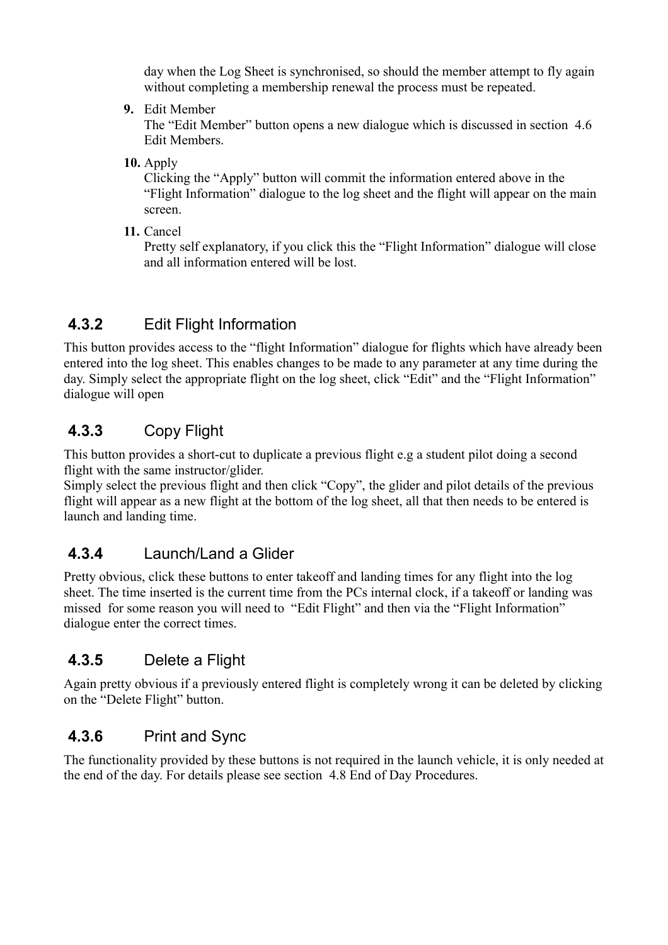day when the Log Sheet is synchronised, so should the member attempt to fly again without completing a membership renewal the process must be repeated.

**9.** Edit Member

The "Edit Member" button opens a new dialogue which is discussed in section [4.6](#page-13-0)  [Edit Members.](#page-13-0)

**10.** Apply

Clicking the "Apply" button will commit the information entered above in the "Flight Information" dialogue to the log sheet and the flight will appear on the main screen.

**11.** Cancel

Pretty self explanatory, if you click this the "Flight Information" dialogue will close and all information entered will be lost.

# **4.3.2** Edit Flight Information

This button provides access to the "flight Information" dialogue for flights which have already been entered into the log sheet. This enables changes to be made to any parameter at any time during the day. Simply select the appropriate flight on the log sheet, click "Edit" and the "Flight Information" dialogue will open

# **4.3.3** Copy Flight

This button provides a short-cut to duplicate a previous flight e.g a student pilot doing a second flight with the same instructor/glider.

Simply select the previous flight and then click "Copy", the glider and pilot details of the previous flight will appear as a new flight at the bottom of the log sheet, all that then needs to be entered is launch and landing time.

# **4.3.4** Launch/Land a Glider

Pretty obvious, click these buttons to enter takeoff and landing times for any flight into the log sheet. The time inserted is the current time from the PCs internal clock, if a takeoff or landing was missed for some reason you will need to "Edit Flight" and then via the "Flight Information" dialogue enter the correct times.

# **4.3.5** Delete a Flight

Again pretty obvious if a previously entered flight is completely wrong it can be deleted by clicking on the "Delete Flight" button.

# **4.3.6** Print and Sync

The functionality provided by these buttons is not required in the launch vehicle, it is only needed at the end of the day. For details please see section [4.8 End of Day Procedures.](#page-16-0)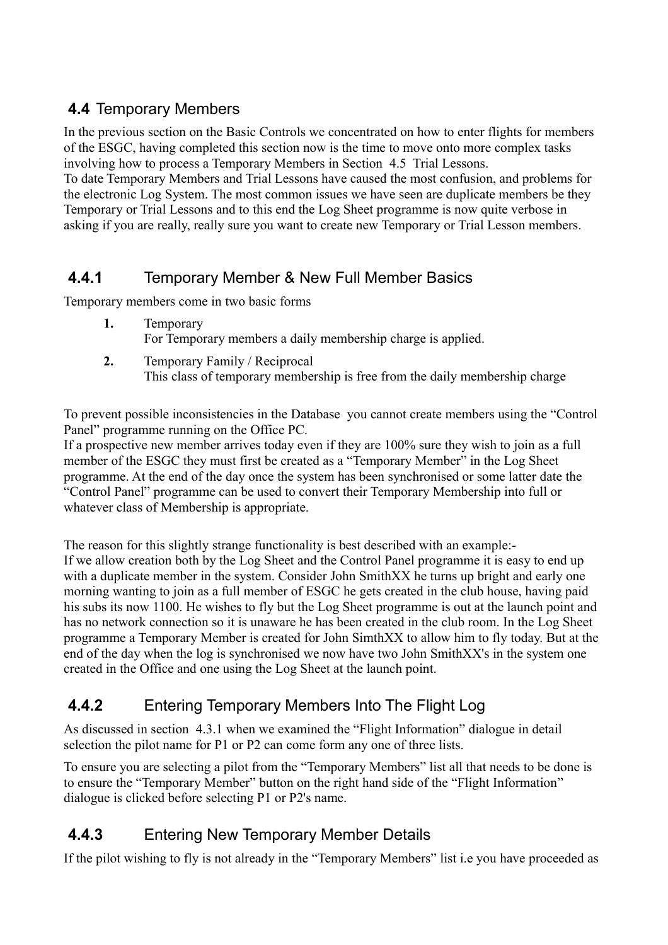## **4.4** Temporary Members

In the previous section on the Basic Controls we concentrated on how to enter flights for members of the ESGC, having completed this section now is the time to move onto more complex tasks involving how to process a Temporary Members in Section [4.5](#page-11-0) Trial Lessons.

To date Temporary Members and Trial Lessons have caused the most confusion, and problems for the electronic Log System. The most common issues we have seen are duplicate members be they Temporary or Trial Lessons and to this end the Log Sheet programme is now quite verbose in asking if you are really, really sure you want to create new Temporary or Trial Lesson members.

## **4.4.1** Temporary Member & New Full Member Basics

Temporary members come in two basic forms

- **1.** Temporary For Temporary members a daily membership charge is applied.
- **2.** Temporary Family / Reciprocal This class of temporary membership is free from the daily membership charge

To prevent possible inconsistencies in the Database you cannot create members using the "Control Panel" programme running on the Office PC.

If a prospective new member arrives today even if they are 100% sure they wish to join as a full member of the ESGC they must first be created as a "Temporary Member" in the Log Sheet programme. At the end of the day once the system has been synchronised or some latter date the "Control Panel" programme can be used to convert their Temporary Membership into full or whatever class of Membership is appropriate.

The reason for this slightly strange functionality is best described with an example:- If we allow creation both by the Log Sheet and the Control Panel programme it is easy to end up with a duplicate member in the system. Consider John SmithXX he turns up bright and early one morning wanting to join as a full member of ESGC he gets created in the club house, having paid his subs its now 1100. He wishes to fly but the Log Sheet programme is out at the launch point and has no network connection so it is unaware he has been created in the club room. In the Log Sheet programme a Temporary Member is created for John SimthXX to allow him to fly today. But at the end of the day when the log is synchronised we now have two John SmithXX's in the system one created in the Office and one using the Log Sheet at the launch point.

# <span id="page-9-0"></span> **4.4.2** Entering Temporary Members Into The Flight Log

As discussed in section [4.3.1 w](#page-5-0)hen we examined the "Flight Information" dialogue in detail selection the pilot name for P1 or P2 can come form any one of three lists.

To ensure you are selecting a pilot from the "Temporary Members" list all that needs to be done is to ensure the "Temporary Member" button on the right hand side of the "Flight Information" dialogue is clicked before selecting P1 or P2's name.

# **4.4.3** Entering New Temporary Member Details

If the pilot wishing to fly is not already in the "Temporary Members" list i.e you have proceeded as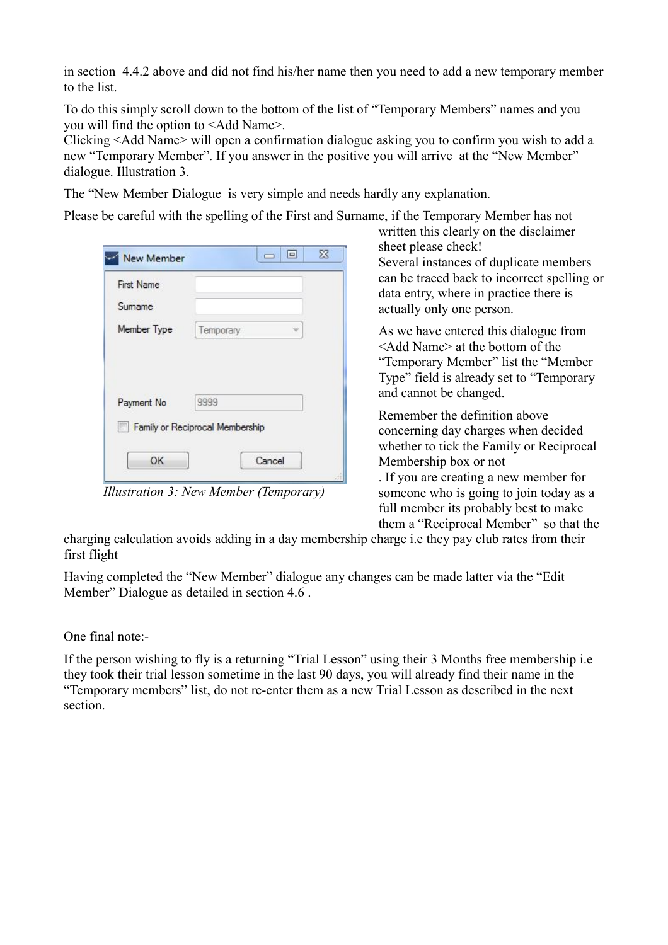in section [4.4.2 a](#page-9-0)bove and did not find his/her name then you need to add a new temporary member to the list.

To do this simply scroll down to the bottom of the list of "Temporary Members" names and you you will find the option to <Add Name>.

Clicking <Add Name> will open a confirmation dialogue asking you to confirm you wish to add a new "Temporary Member". If you answer in the positive you will arrive at the "New Member" dialogue. [Illustration 3.](#page-10-0)

The "New Member Dialogue is very simple and needs hardly any explanation.

Please be careful with the spelling of the First and Surname, if the Temporary Member has not

| <b>First Name</b> |           |  |
|-------------------|-----------|--|
| Sumame            |           |  |
| Member Type       | Temporary |  |
|                   |           |  |
| Payment No        | 9999      |  |

<span id="page-10-0"></span>*Illustration 3: New Member (Temporary)*

written this clearly on the disclaimer sheet please check! Several instances of duplicate members can be traced back to incorrect spelling or data entry, where in practice there is actually only one person.

As we have entered this dialogue from <Add Name> at the bottom of the "Temporary Member" list the "Member Type" field is already set to "Temporary and cannot be changed.

Remember the definition above concerning day charges when decided whether to tick the Family or Reciprocal Membership box or not

. If you are creating a new member for someone who is going to join today as a full member its probably best to make them a "Reciprocal Member" so that the

charging calculation avoids adding in a day membership charge i.e they pay club rates from their first flight

Having completed the "New Member" dialogue any changes can be made latter via the "Edit Member" Dialogue as detailed in sectio[n 4.6 .](#page-13-0)

One final note:-

If the person wishing to fly is a returning "Trial Lesson" using their 3 Months free membership i.e they took their trial lesson sometime in the last 90 days, you will already find their name in the "Temporary members" list, do not re-enter them as a new Trial Lesson as described in the next section.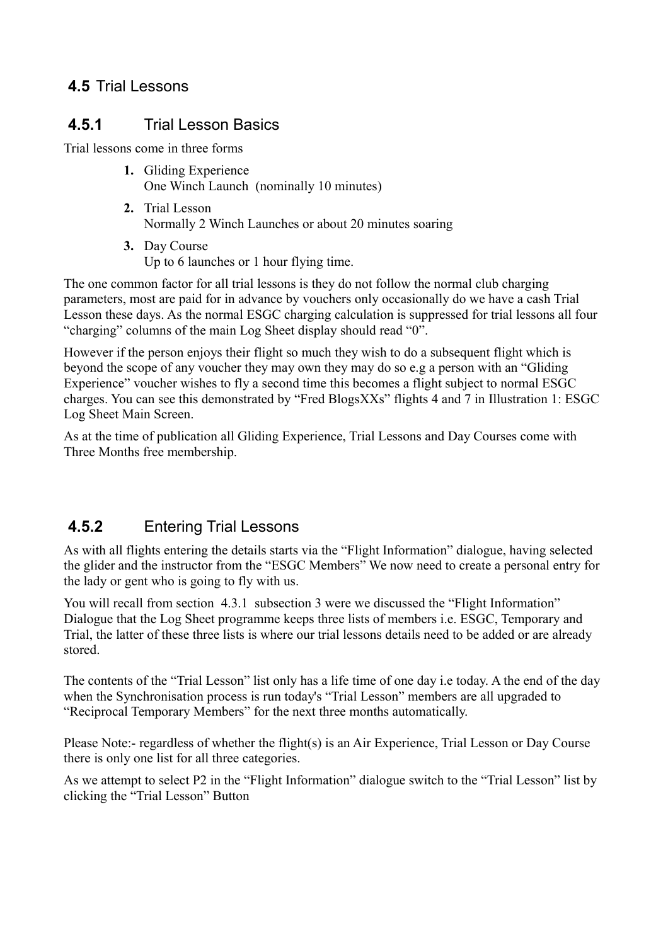## <span id="page-11-0"></span> **4.5** Trial Lessons

### **4.5.1** Trial Lesson Basics

Trial lessons come in three forms

- **1.** Gliding Experience One Winch Launch (nominally 10 minutes)
- **2.** Trial Lesson Normally 2 Winch Launches or about 20 minutes soaring
- **3.** Day Course Up to 6 launches or 1 hour flying time.

The one common factor for all trial lessons is they do not follow the normal club charging parameters, most are paid for in advance by vouchers only occasionally do we have a cash Trial Lesson these days. As the normal ESGC charging calculation is suppressed for trial lessons all four "charging" columns of the main Log Sheet display should read "0".

However if the person enjoys their flight so much they wish to do a subsequent flight which is beyond the scope of any voucher they may own they may do so e.g a person with an "Gliding Experience" voucher wishes to fly a second time this becomes a flight subject to normal ESGC charges. You can see this demonstrated by "Fred BlogsXXs" flights 4 and 7 in [Illustration 1: ESGC](#page-5-1)  [Log Sheet Main Screen.](#page-5-1)

As at the time of publication all Gliding Experience, Trial Lessons and Day Courses come with Three Months free membership.

# **4.5.2** Entering Trial Lessons

As with all flights entering the details starts via the "Flight Information" dialogue, having selected the glider and the instructor from the "ESGC Members" We now need to create a personal entry for the lady or gent who is going to fly with us.

You will recall from section [4.3.1](#page-5-0) subsection 3 were we discussed the "Flight Information" Dialogue that the Log Sheet programme keeps three lists of members i.e. ESGC, Temporary and Trial, the latter of these three lists is where our trial lessons details need to be added or are already stored.

The contents of the "Trial Lesson" list only has a life time of one day i.e today. A the end of the day when the Synchronisation process is run today's "Trial Lesson" members are all upgraded to "Reciprocal Temporary Members" for the next three months automatically.

Please Note:- regardless of whether the flight(s) is an Air Experience, Trial Lesson or Day Course there is only one list for all three categories.

As we attempt to select P2 in the "Flight Information" dialogue switch to the "Trial Lesson" list by clicking the "Trial Lesson" Button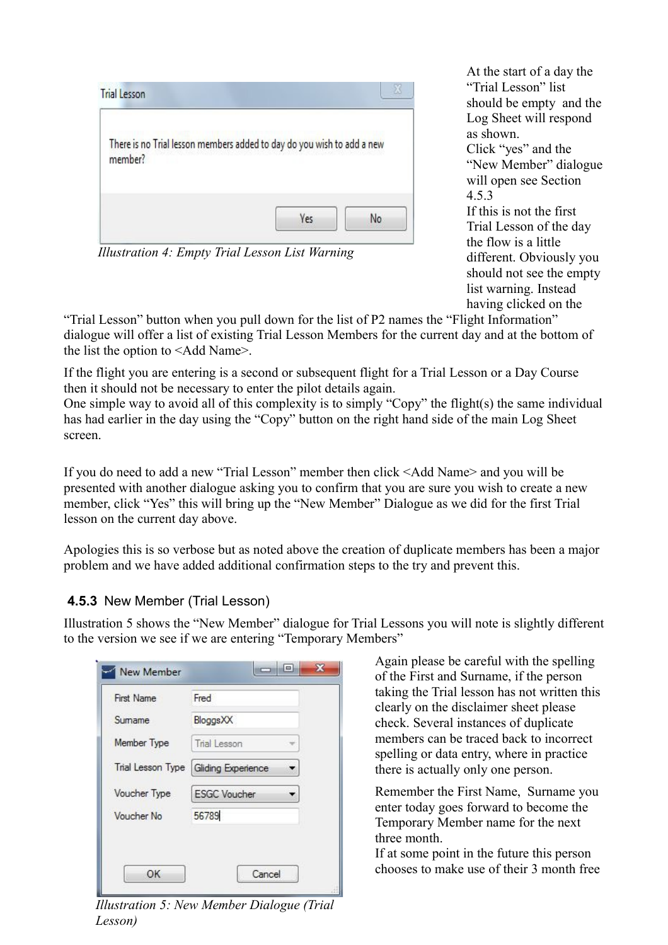| member? | There is no Trial lesson members added to day do you wish to add a new |
|---------|------------------------------------------------------------------------|
|         |                                                                        |

*Illustration 4: Empty Trial Lesson List Warning*

At the start of a day the "Trial Lesson" list should be empty and the Log Sheet will respond as shown. Click "yes" and the "New Member" dialogue will open see Section [4.5.3](#page-12-1) 

If this is not the first Trial Lesson of the day the flow is a little different. Obviously you should not see the empty list warning. Instead having clicked on the

"Trial Lesson" button when you pull down for the list of P2 names the "Flight Information" dialogue will offer a list of existing Trial Lesson Members for the current day and at the bottom of the list the option to <Add Name>.

If the flight you are entering is a second or subsequent flight for a Trial Lesson or a Day Course then it should not be necessary to enter the pilot details again.

One simple way to avoid all of this complexity is to simply "Copy" the flight(s) the same individual has had earlier in the day using the "Copy" button on the right hand side of the main Log Sheet screen.

If you do need to add a new "Trial Lesson" member then click <Add Name> and you will be presented with another dialogue asking you to confirm that you are sure you wish to create a new member, click "Yes" this will bring up the "New Member" Dialogue as we did for the first Trial lesson on the current day above.

Apologies this is so verbose but as noted above the creation of duplicate members has been a major problem and we have added additional confirmation steps to the try and prevent this.

#### <span id="page-12-1"></span> **4.5.3** New Member (Trial Lesson)

Illustration [5](#page-12-0) shows the "New Member" dialogue for Trial Lessons you will note is slightly different to the version we see if we are entering "Temporary Members"

| First Name        | Fred                |
|-------------------|---------------------|
| Sumame            | BloggsXX            |
| Member Type       | Trial Lesson        |
| Trial Lesson Type | Gliding Experience  |
| Voucher Type      | <b>ESGC Voucher</b> |
| Voucher No        | 56789               |

<span id="page-12-0"></span>*Illustration 5: New Member Dialogue (Trial Lesson)*

Again please be careful with the spelling of the First and Surname, if the person taking the Trial lesson has not written this clearly on the disclaimer sheet please check. Several instances of duplicate members can be traced back to incorrect spelling or data entry, where in practice there is actually only one person.

Remember the First Name, Surname you enter today goes forward to become the Temporary Member name for the next three month.

If at some point in the future this person chooses to make use of their 3 month free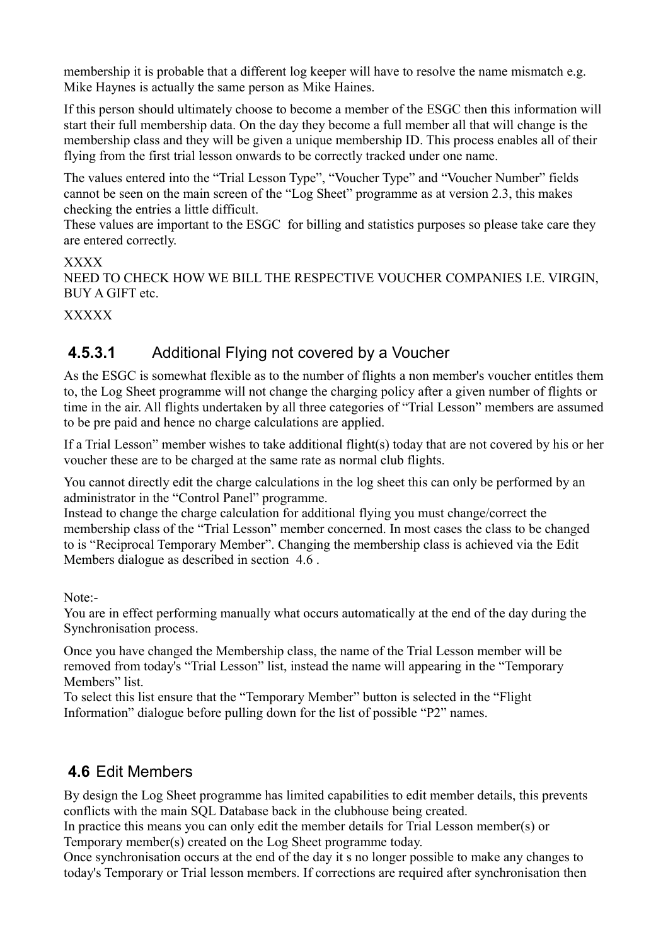membership it is probable that a different log keeper will have to resolve the name mismatch e.g. Mike Haynes is actually the same person as Mike Haines.

If this person should ultimately choose to become a member of the ESGC then this information will start their full membership data. On the day they become a full member all that will change is the membership class and they will be given a unique membership ID. This process enables all of their flying from the first trial lesson onwards to be correctly tracked under one name.

The values entered into the "Trial Lesson Type", "Voucher Type" and "Voucher Number" fields cannot be seen on the main screen of the "Log Sheet" programme as at version 2.3, this makes checking the entries a little difficult.

These values are important to the ESGC for billing and statistics purposes so please take care they are entered correctly.

XXXX

NEED TO CHECK HOW WE BILL THE RESPECTIVE VOUCHER COMPANIES I.E. VIRGIN, BUY A GIFT etc.

**XXXXX** 

## **4.5.3.1** Additional Flying not covered by a Voucher

As the ESGC is somewhat flexible as to the number of flights a non member's voucher entitles them to, the Log Sheet programme will not change the charging policy after a given number of flights or time in the air. All flights undertaken by all three categories of "Trial Lesson" members are assumed to be pre paid and hence no charge calculations are applied.

If a Trial Lesson" member wishes to take additional flight(s) today that are not covered by his or her voucher these are to be charged at the same rate as normal club flights.

You cannot directly edit the charge calculations in the log sheet this can only be performed by an administrator in the "Control Panel" programme.

Instead to change the charge calculation for additional flying you must change/correct the membership class of the "Trial Lesson" member concerned. In most cases the class to be changed to is "Reciprocal Temporary Member". Changing the membership class is achieved via the [Edit](#page-13-0)  [Members](#page-13-0) dialogue as described in section [4.6 .](#page-13-0)

Note:-

You are in effect performing manually what occurs automatically at the end of the day during the Synchronisation process.

Once you have changed the Membership class, the name of the Trial Lesson member will be removed from today's "Trial Lesson" list, instead the name will appearing in the "Temporary Members" list.

To select this list ensure that the "Temporary Member" button is selected in the "Flight Information" dialogue before pulling down for the list of possible "P2" names.

## <span id="page-13-0"></span> **4.6** Edit Members

By design the Log Sheet programme has limited capabilities to edit member details, this prevents conflicts with the main SQL Database back in the clubhouse being created.

In practice this means you can only edit the member details for Trial Lesson member(s) or Temporary member(s) created on the Log Sheet programme today.

Once synchronisation occurs at the end of the day it s no longer possible to make any changes to today's Temporary or Trial lesson members. If corrections are required after synchronisation then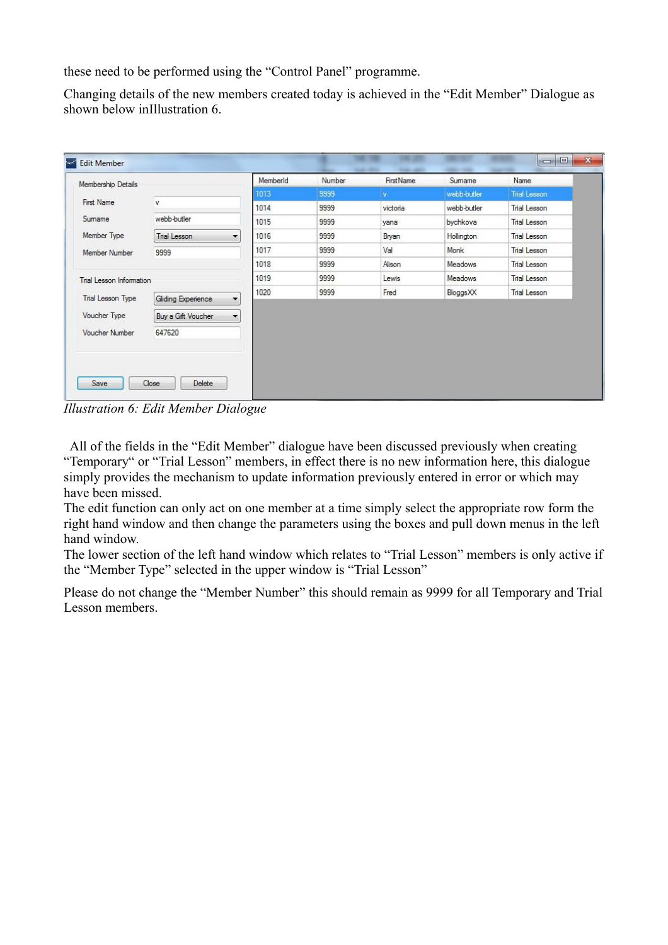these need to be performed using the "Control Panel" programme.

Changing details of the new members created today is achieved in the "Edit Member" Dialogue as shown below i[nIllustration 6.](#page-14-0)

| Membership Details       |                                                | MemberId | Number | <b>First Name</b> | Sumame      | Name                |
|--------------------------|------------------------------------------------|----------|--------|-------------------|-------------|---------------------|
|                          |                                                | 1013     | 9999   | <b>V</b>          | webb-butler | <b>Trial Lesson</b> |
| <b>First Name</b>        | v.                                             | 1014     | 9999   | victoria          | webb-butler | Trial Lesson        |
| Sumame                   | webb-butler                                    | 1015     | 9999   | yana              | bychkova    | <b>Trial Lesson</b> |
| Member Type              | <b>Trial Lesson</b><br>▼                       | 1016     | 9999   | Bryan             | Hollington  | Trial Lesson        |
| Member Number            | 9999                                           | 1017     | 9999   | Val               | Monk        | Trial Lesson        |
|                          |                                                | 1018     | 9999   | Alison            | Meadows     | Trial Lesson        |
| Trial Lesson Information |                                                | 1019     | 9999   | Lewis             | Meadows     | Trial Lesson        |
| Trial Lesson Type        | Gliding Experience<br>$\overline{\phantom{a}}$ | 1020     | 9999   | Fred              | BloggsXX    | Trial Lesson        |
| Voucher Type             | $\blacktriangledown$<br>Buy a Gift Voucher     |          |        |                   |             |                     |
| Voucher Number           | 647620                                         |          |        |                   |             |                     |
|                          |                                                |          |        |                   |             |                     |
|                          |                                                |          |        |                   |             |                     |

<span id="page-14-0"></span>*Illustration 6: Edit Member Dialogue*

 All of the fields in the "Edit Member" dialogue have been discussed previously when creating "Temporary" or "Trial Lesson" members, in effect there is no new information here, this dialogue simply provides the mechanism to update information previously entered in error or which may have been missed.

The edit function can only act on one member at a time simply select the appropriate row form the right hand window and then change the parameters using the boxes and pull down menus in the left hand window.

The lower section of the left hand window which relates to "Trial Lesson" members is only active if the "Member Type" selected in the upper window is "Trial Lesson"

Please do not change the "Member Number" this should remain as 9999 for all Temporary and Trial Lesson members.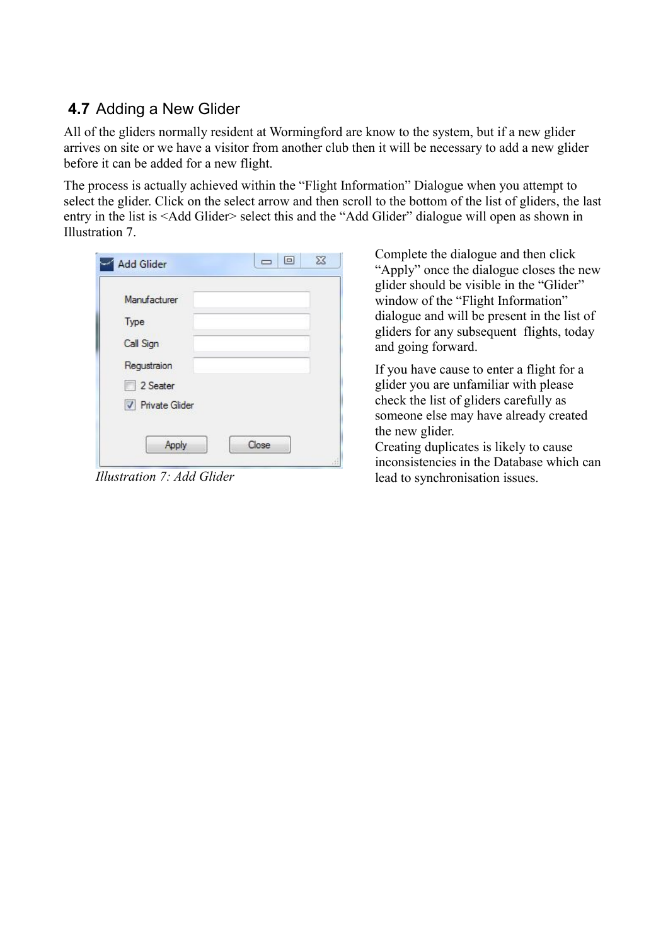## **4.7** Adding a New Glider

All of the gliders normally resident at Wormingford are know to the system, but if a new glider arrives on site or we have a visitor from another club then it will be necessary to add a new glider before it can be added for a new flight.

The process is actually achieved within the "Flight Information" Dialogue when you attempt to select the glider. Click on the select arrow and then scroll to the bottom of the list of gliders, the last e[n](#page-15-0)try in the list is <Add Glider> select this and the "Add Glider" dialogue will open as shown in [Illustration 7.](#page-15-0)

| Manufacturer            |  |  |
|-------------------------|--|--|
| Type                    |  |  |
| Call Sign               |  |  |
| Regustraion             |  |  |
| 2 Seater                |  |  |
| <b>V</b> Private Glider |  |  |
|                         |  |  |

<span id="page-15-0"></span>

Complete the dialogue and then click "Apply" once the dialogue closes the new glider should be visible in the "Glider" window of the "Flight Information" dialogue and will be present in the list of gliders for any subsequent flights, today and going forward.

If you have cause to enter a flight for a glider you are unfamiliar with please check the list of gliders carefully as someone else may have already created the new glider.

Creating duplicates is likely to cause inconsistencies in the Database which can *Illustration 7: Add Glider* lead to synchronisation issues.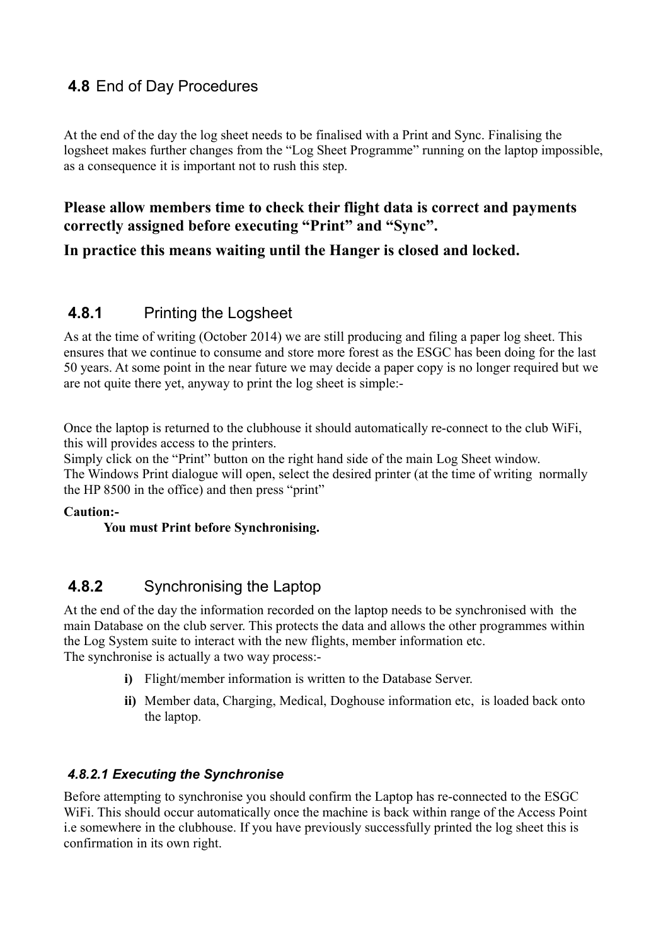## <span id="page-16-0"></span> **4.8** End of Day Procedures

At the end of the day the log sheet needs to be finalised with a Print and Sync. Finalising the logsheet makes further changes from the "Log Sheet Programme" running on the laptop impossible, as a consequence it is important not to rush this step.

#### **Please allow members time to check their flight data is correct and payments correctly assigned before executing "Print" and "Sync".**

**In practice this means waiting until the Hanger is closed and locked.**

#### **4.8.1** Printing the Logsheet

As at the time of writing (October 2014) we are still producing and filing a paper log sheet. This ensures that we continue to consume and store more forest as the ESGC has been doing for the last 50 years. At some point in the near future we may decide a paper copy is no longer required but we are not quite there yet, anyway to print the log sheet is simple:-

Once the laptop is returned to the clubhouse it should automatically re-connect to the club WiFi, this will provides access to the printers.

Simply click on the "Print" button on the right hand side of the main Log Sheet window.

The Windows Print dialogue will open, select the desired printer (at the time of writing normally the HP 8500 in the office) and then press "print"

#### **Caution:-**

#### **You must Print before Synchronising.**

#### **4.8.2** Synchronising the Laptop

At the end of the day the information recorded on the laptop needs to be synchronised with the main Database on the club server. This protects the data and allows the other programmes within the Log System suite to interact with the new flights, member information etc. The synchronise is actually a two way process:-

- **i)** Flight/member information is written to the Database Server.
- **ii)** Member data, Charging, Medical, Doghouse information etc, is loaded back onto the laptop.

#### *4.8.2.1 Executing the Synchronise*

Before attempting to synchronise you should confirm the Laptop has re-connected to the ESGC WiFi. This should occur automatically once the machine is back within range of the Access Point i.e somewhere in the clubhouse. If you have previously successfully printed the log sheet this is confirmation in its own right.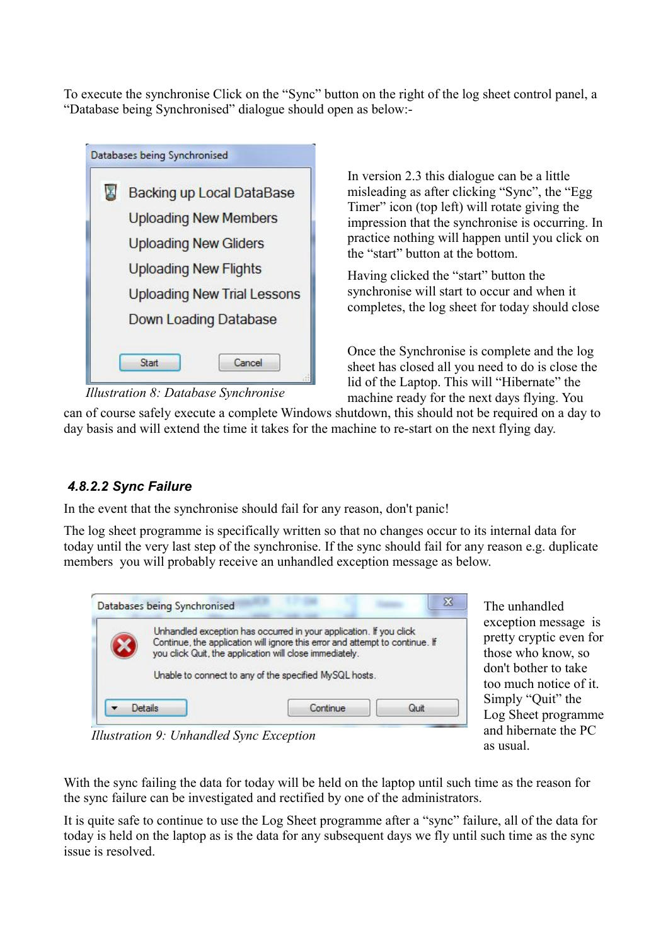To execute the synchronise Click on the "Sync" button on the right of the log sheet control panel, a "Database being Synchronised" dialogue should open as below:-

| Backing up Local DataBase          |
|------------------------------------|
| <b>Uploading New Members</b>       |
| <b>Uploading New Gliders</b>       |
| <b>Uploading New Flights</b>       |
| <b>Uploading New Trial Lessons</b> |
| Down Loading Database              |

*Illustration 8: Database Synchronise*

In version 2.3 this dialogue can be a little misleading as after clicking "Sync", the "Egg Timer" icon (top left) will rotate giving the impression that the synchronise is occurring. In practice nothing will happen until you click on the "start" button at the bottom.

Having clicked the "start" button the synchronise will start to occur and when it completes, the log sheet for today should close

Once the Synchronise is complete and the log sheet has closed all you need to do is close the lid of the Laptop. This will "Hibernate" the machine ready for the next days flying. You

can of course safely execute a complete Windows shutdown, this should not be required on a day to day basis and will extend the time it takes for the machine to re-start on the next flying day.

#### *4.8.2.2 Sync Failure*

In the event that the synchronise should fail for any reason, don't panic!

The log sheet programme is specifically written so that no changes occur to its internal data for today until the very last step of the synchronise. If the sync should fail for any reason e.g. duplicate members you will probably receive an unhandled exception message as below.



The unhandled exception message is pretty cryptic even for those who know, so don't bother to take too much notice of it. Simply "Quit" the Log Sheet programme and hibernate the PC as usual.

*Illustration 9: Unhandled Sync Exception*

With the sync failing the data for today will be held on the laptop until such time as the reason for the sync failure can be investigated and rectified by one of the administrators.

It is quite safe to continue to use the Log Sheet programme after a "sync" failure, all of the data for today is held on the laptop as is the data for any subsequent days we fly until such time as the sync issue is resolved.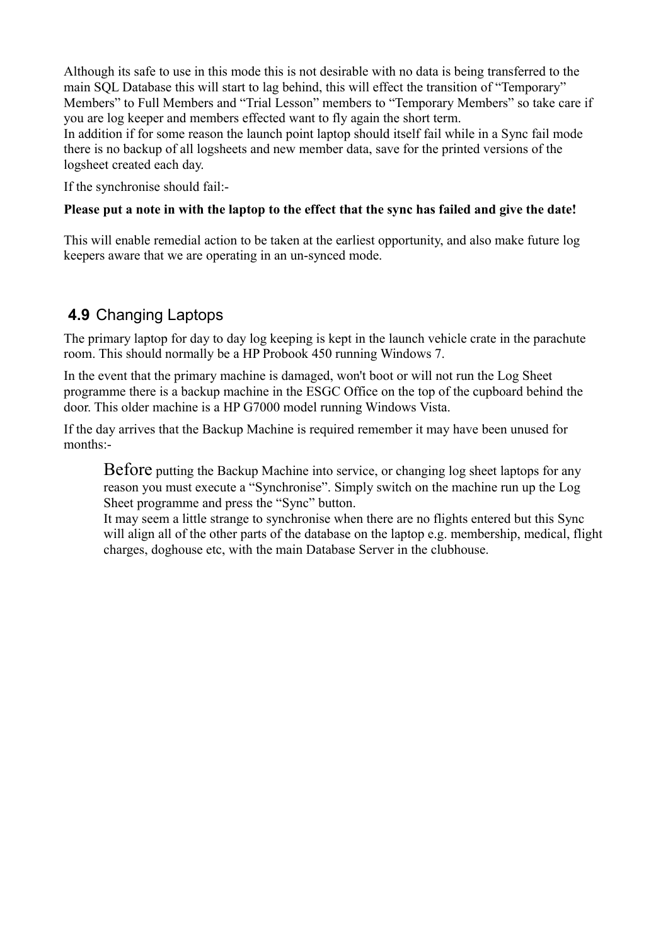Although its safe to use in this mode this is not desirable with no data is being transferred to the main SQL Database this will start to lag behind, this will effect the transition of "Temporary" Members" to Full Members and "Trial Lesson" members to "Temporary Members" so take care if you are log keeper and members effected want to fly again the short term.

In addition if for some reason the launch point laptop should itself fail while in a Sync fail mode there is no backup of all logsheets and new member data, save for the printed versions of the logsheet created each day.

If the synchronise should fail:-

#### **Please put a note in with the laptop to the effect that the sync has failed and give the date!**

This will enable remedial action to be taken at the earliest opportunity, and also make future log keepers aware that we are operating in an un-synced mode.

### **4.9** Changing Laptops

The primary laptop for day to day log keeping is kept in the launch vehicle crate in the parachute room. This should normally be a HP Probook 450 running Windows 7.

In the event that the primary machine is damaged, won't boot or will not run the Log Sheet programme there is a backup machine in the ESGC Office on the top of the cupboard behind the door. This older machine is a HP G7000 model running Windows Vista.

If the day arrives that the Backup Machine is required remember it may have been unused for months:-

Before putting the Backup Machine into service, or changing log sheet laptops for any reason you must execute a "Synchronise". Simply switch on the machine run up the Log Sheet programme and press the "Sync" button.

It may seem a little strange to synchronise when there are no flights entered but this Sync will align all of the other parts of the database on the laptop e.g. membership, medical, flight charges, doghouse etc, with the main Database Server in the clubhouse.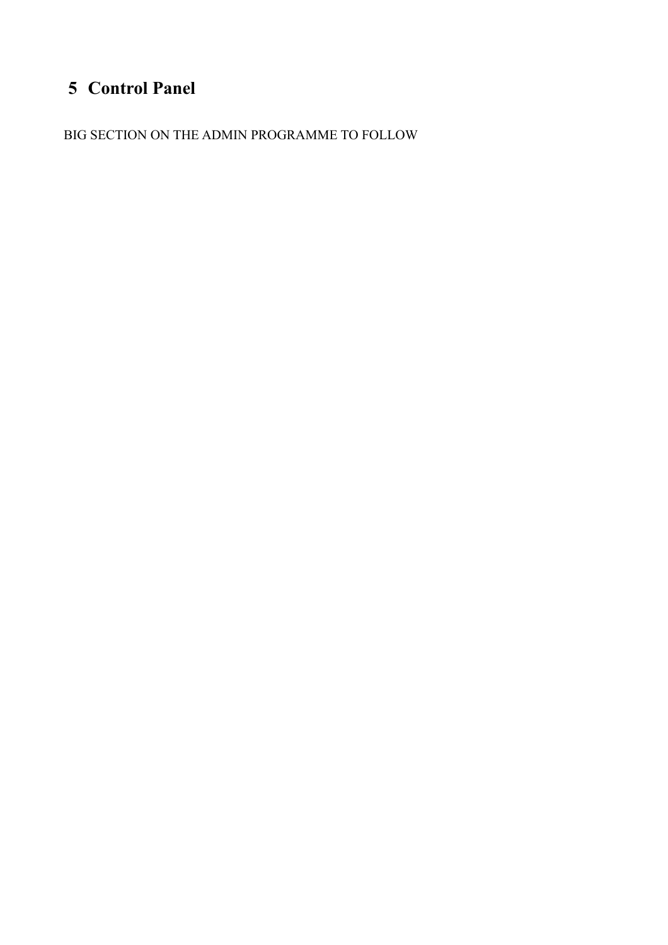# **5 Control Panel**

BIG SECTION ON THE ADMIN PROGRAMME TO FOLLOW